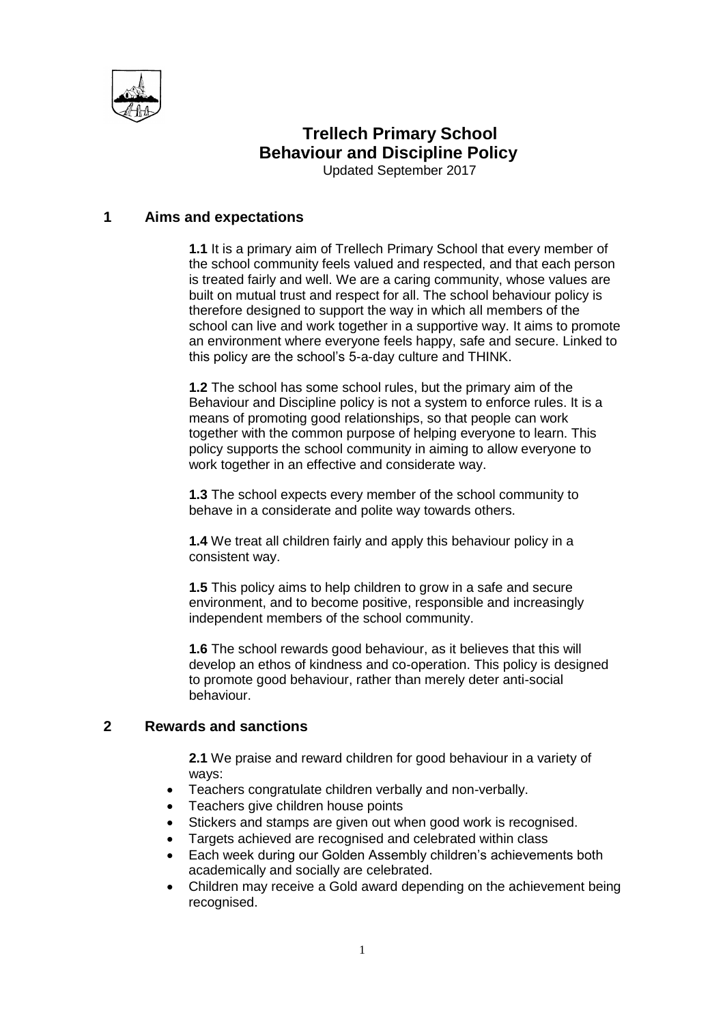

# **Trellech Primary School Behaviour and Discipline Policy**

Updated September 2017

# **1 Aims and expectations**

**1.1** It is a primary aim of Trellech Primary School that every member of the school community feels valued and respected, and that each person is treated fairly and well. We are a caring community, whose values are built on mutual trust and respect for all. The school behaviour policy is therefore designed to support the way in which all members of the school can live and work together in a supportive way. It aims to promote an environment where everyone feels happy, safe and secure. Linked to this policy are the school's 5-a-day culture and THINK.

**1.2** The school has some school rules, but the primary aim of the Behaviour and Discipline policy is not a system to enforce rules. It is a means of promoting good relationships, so that people can work together with the common purpose of helping everyone to learn. This policy supports the school community in aiming to allow everyone to work together in an effective and considerate way.

**1.3** The school expects every member of the school community to behave in a considerate and polite way towards others.

**1.4** We treat all children fairly and apply this behaviour policy in a consistent way.

**1.5** This policy aims to help children to grow in a safe and secure environment, and to become positive, responsible and increasingly independent members of the school community.

**1.6** The school rewards good behaviour, as it believes that this will develop an ethos of kindness and co-operation. This policy is designed to promote good behaviour, rather than merely deter anti-social behaviour.

## **2 Rewards and sanctions**

**2.1** We praise and reward children for good behaviour in a variety of ways:

- Teachers congratulate children verbally and non-verbally.
- Teachers give children house points
- Stickers and stamps are given out when good work is recognised.
- Targets achieved are recognised and celebrated within class
- Each week during our Golden Assembly children's achievements both academically and socially are celebrated.
- Children may receive a Gold award depending on the achievement being recognised.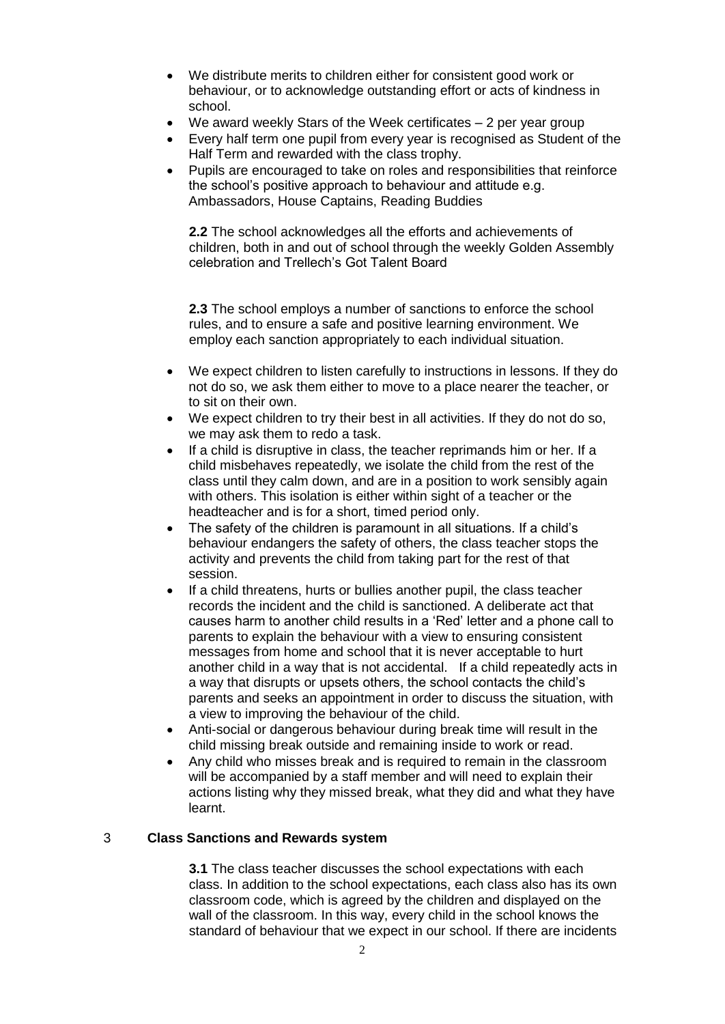- We distribute merits to children either for consistent good work or behaviour, or to acknowledge outstanding effort or acts of kindness in school.
- We award weekly Stars of the Week certificates 2 per year group
- Every half term one pupil from every year is recognised as Student of the Half Term and rewarded with the class trophy.
- Pupils are encouraged to take on roles and responsibilities that reinforce the school's positive approach to behaviour and attitude e.g. Ambassadors, House Captains, Reading Buddies

**2.2** The school acknowledges all the efforts and achievements of children, both in and out of school through the weekly Golden Assembly celebration and Trellech's Got Talent Board

**2.3** The school employs a number of sanctions to enforce the school rules, and to ensure a safe and positive learning environment. We employ each sanction appropriately to each individual situation.

- We expect children to listen carefully to instructions in lessons. If they do not do so, we ask them either to move to a place nearer the teacher, or to sit on their own.
- We expect children to try their best in all activities. If they do not do so, we may ask them to redo a task.
- If a child is disruptive in class, the teacher reprimands him or her. If a child misbehaves repeatedly, we isolate the child from the rest of the class until they calm down, and are in a position to work sensibly again with others. This isolation is either within sight of a teacher or the headteacher and is for a short, timed period only.
- The safety of the children is paramount in all situations. If a child's behaviour endangers the safety of others, the class teacher stops the activity and prevents the child from taking part for the rest of that session.
- If a child threatens, hurts or bullies another pupil, the class teacher records the incident and the child is sanctioned. A deliberate act that causes harm to another child results in a 'Red' letter and a phone call to parents to explain the behaviour with a view to ensuring consistent messages from home and school that it is never acceptable to hurt another child in a way that is not accidental. If a child repeatedly acts in a way that disrupts or upsets others, the school contacts the child's parents and seeks an appointment in order to discuss the situation, with a view to improving the behaviour of the child.
- Anti-social or dangerous behaviour during break time will result in the child missing break outside and remaining inside to work or read.
- Any child who misses break and is required to remain in the classroom will be accompanied by a staff member and will need to explain their actions listing why they missed break, what they did and what they have learnt.

#### 3 **Class Sanctions and Rewards system**

**3.1** The class teacher discusses the school expectations with each class. In addition to the school expectations, each class also has its own classroom code, which is agreed by the children and displayed on the wall of the classroom. In this way, every child in the school knows the standard of behaviour that we expect in our school. If there are incidents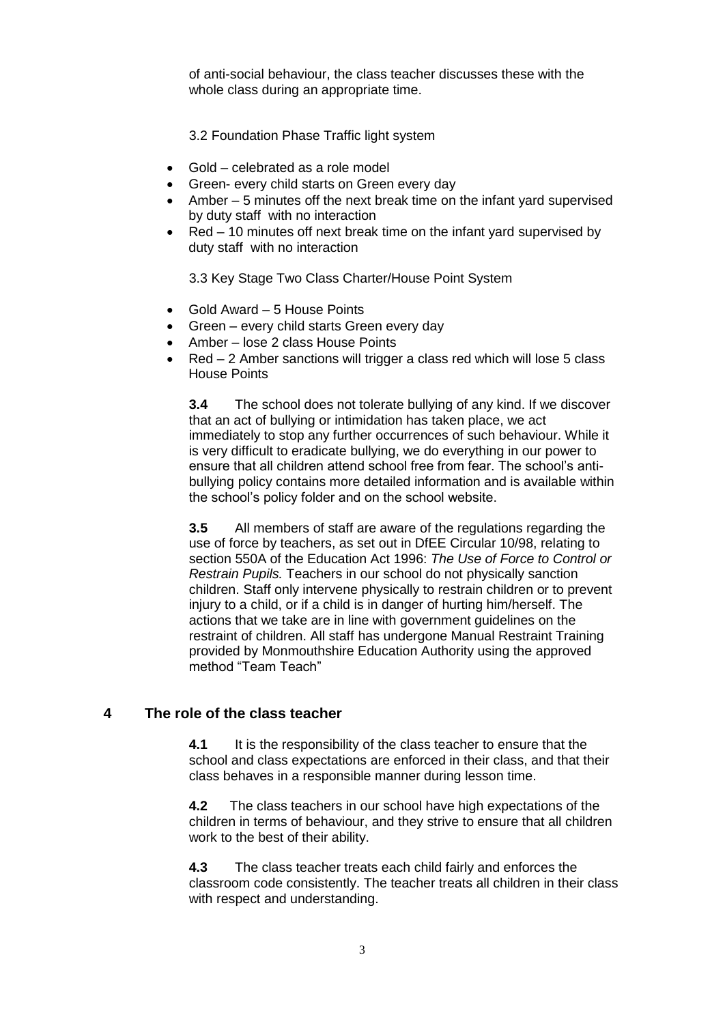of anti-social behaviour, the class teacher discusses these with the whole class during an appropriate time.

3.2 Foundation Phase Traffic light system

- Gold celebrated as a role model
- Green- every child starts on Green every day
- Amber 5 minutes off the next break time on the infant yard supervised by duty staff with no interaction
- Red 10 minutes off next break time on the infant yard supervised by duty staff with no interaction

3.3 Key Stage Two Class Charter/House Point System

- Gold Award 5 House Points
- Green every child starts Green every day
- Amber lose 2 class House Points
- Red 2 Amber sanctions will trigger a class red which will lose 5 class House Points

**3.4** The school does not tolerate bullying of any kind. If we discover that an act of bullying or intimidation has taken place, we act immediately to stop any further occurrences of such behaviour. While it is very difficult to eradicate bullying, we do everything in our power to ensure that all children attend school free from fear. The school's antibullying policy contains more detailed information and is available within the school's policy folder and on the school website.

**3.5** All members of staff are aware of the regulations regarding the use of force by teachers, as set out in DfEE Circular 10/98, relating to section 550A of the Education Act 1996: *The Use of Force to Control or Restrain Pupils.* Teachers in our school do not physically sanction children. Staff only intervene physically to restrain children or to prevent injury to a child, or if a child is in danger of hurting him/herself. The actions that we take are in line with government guidelines on the restraint of children. All staff has undergone Manual Restraint Training provided by Monmouthshire Education Authority using the approved method "Team Teach"

# **4 The role of the class teacher**

**4.1** It is the responsibility of the class teacher to ensure that the school and class expectations are enforced in their class, and that their class behaves in a responsible manner during lesson time.

**4.2** The class teachers in our school have high expectations of the children in terms of behaviour, and they strive to ensure that all children work to the best of their ability.

**4.3** The class teacher treats each child fairly and enforces the classroom code consistently. The teacher treats all children in their class with respect and understanding.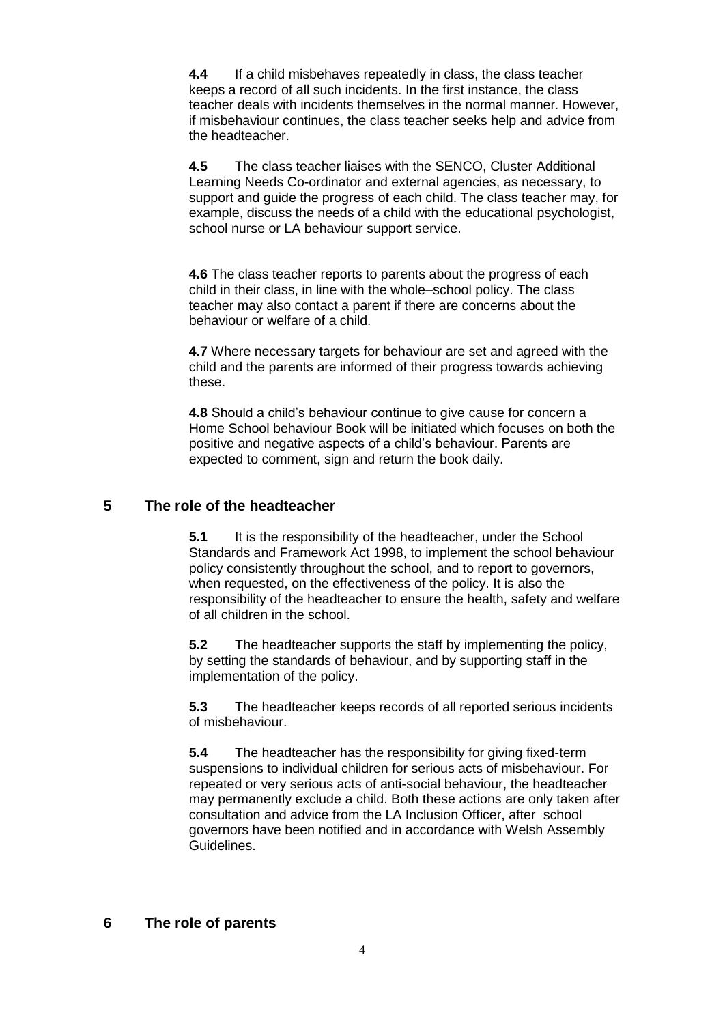**4.4** If a child misbehaves repeatedly in class, the class teacher keeps a record of all such incidents. In the first instance, the class teacher deals with incidents themselves in the normal manner. However, if misbehaviour continues, the class teacher seeks help and advice from the headteacher.

**4.5** The class teacher liaises with the SENCO, Cluster Additional Learning Needs Co-ordinator and external agencies, as necessary, to support and guide the progress of each child. The class teacher may, for example, discuss the needs of a child with the educational psychologist, school nurse or LA behaviour support service.

**4.6** The class teacher reports to parents about the progress of each child in their class, in line with the whole–school policy. The class teacher may also contact a parent if there are concerns about the behaviour or welfare of a child.

**4.7** Where necessary targets for behaviour are set and agreed with the child and the parents are informed of their progress towards achieving these.

**4.8** Should a child's behaviour continue to give cause for concern a Home School behaviour Book will be initiated which focuses on both the positive and negative aspects of a child's behaviour. Parents are expected to comment, sign and return the book daily.

## **5 The role of the headteacher**

**5.1** It is the responsibility of the headteacher, under the School Standards and Framework Act 1998, to implement the school behaviour policy consistently throughout the school, and to report to governors, when requested, on the effectiveness of the policy. It is also the responsibility of the headteacher to ensure the health, safety and welfare of all children in the school.

**5.2** The headteacher supports the staff by implementing the policy, by setting the standards of behaviour, and by supporting staff in the implementation of the policy.

**5.3** The headteacher keeps records of all reported serious incidents of misbehaviour.

**5.4** The headteacher has the responsibility for giving fixed-term suspensions to individual children for serious acts of misbehaviour. For repeated or very serious acts of anti-social behaviour, the headteacher may permanently exclude a child. Both these actions are only taken after consultation and advice from the LA Inclusion Officer, after school governors have been notified and in accordance with Welsh Assembly Guidelines.

## **6 The role of parents**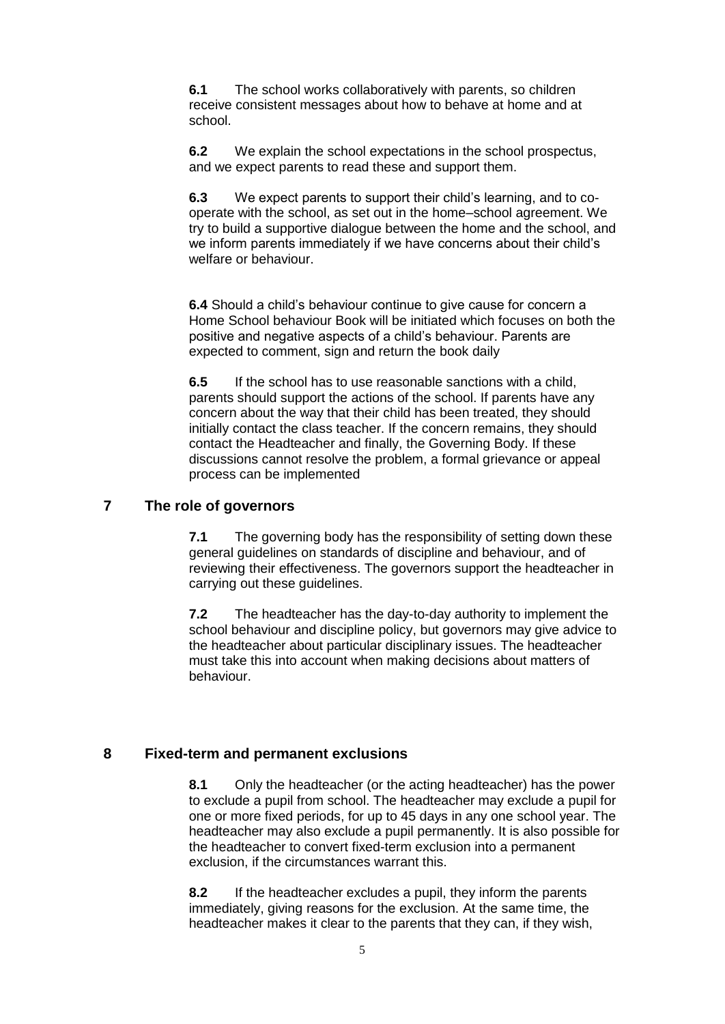**6.1** The school works collaboratively with parents, so children receive consistent messages about how to behave at home and at school.

**6.2** We explain the school expectations in the school prospectus, and we expect parents to read these and support them.

**6.3** We expect parents to support their child's learning, and to cooperate with the school, as set out in the home–school agreement. We try to build a supportive dialogue between the home and the school, and we inform parents immediately if we have concerns about their child's welfare or behaviour.

**6.4** Should a child's behaviour continue to give cause for concern a Home School behaviour Book will be initiated which focuses on both the positive and negative aspects of a child's behaviour. Parents are expected to comment, sign and return the book daily

**6.5** If the school has to use reasonable sanctions with a child, parents should support the actions of the school. If parents have any concern about the way that their child has been treated, they should initially contact the class teacher. If the concern remains, they should contact the Headteacher and finally, the Governing Body. If these discussions cannot resolve the problem, a formal grievance or appeal process can be implemented

## **7 The role of governors**

**7.1** The governing body has the responsibility of setting down these general guidelines on standards of discipline and behaviour, and of reviewing their effectiveness. The governors support the headteacher in carrying out these guidelines.

**7.2** The headteacher has the day-to-day authority to implement the school behaviour and discipline policy, but governors may give advice to the headteacher about particular disciplinary issues. The headteacher must take this into account when making decisions about matters of behaviour.

## **8 Fixed-term and permanent exclusions**

**8.1** Only the headteacher (or the acting headteacher) has the power to exclude a pupil from school. The headteacher may exclude a pupil for one or more fixed periods, for up to 45 days in any one school year. The headteacher may also exclude a pupil permanently. It is also possible for the headteacher to convert fixed-term exclusion into a permanent exclusion, if the circumstances warrant this.

**8.2** If the headteacher excludes a pupil, they inform the parents immediately, giving reasons for the exclusion. At the same time, the headteacher makes it clear to the parents that they can, if they wish,